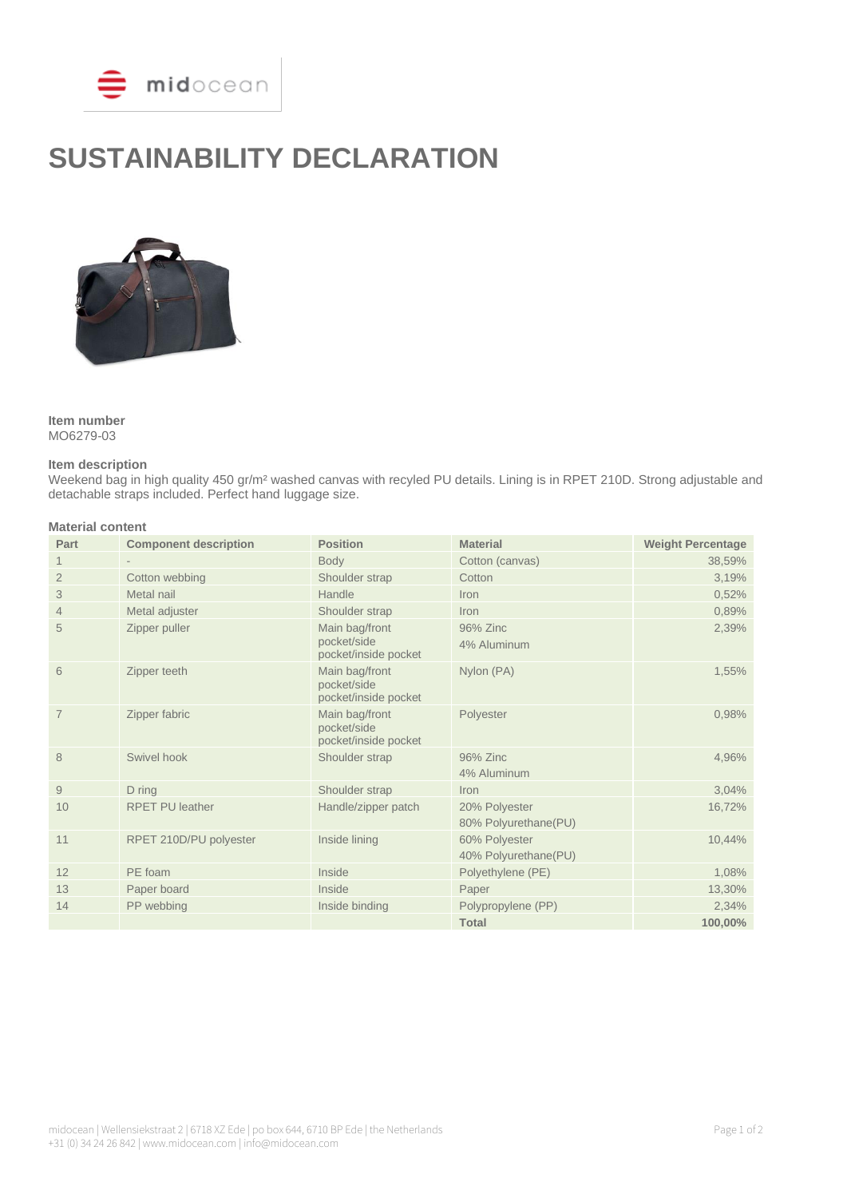

# **SUSTAINABILITY DECLARATION**



## **Item number**

MO6279-03

#### **Item description**

Weekend bag in high quality 450 gr/m² washed canvas with recyled PU details. Lining is in RPET 210D. Strong adjustable and detachable straps included. Perfect hand luggage size.

### **Material content**

| Part           | <b>Component description</b> | <b>Position</b>                                       | <b>Material</b>                        | <b>Weight Percentage</b> |
|----------------|------------------------------|-------------------------------------------------------|----------------------------------------|--------------------------|
|                |                              | <b>Body</b>                                           | Cotton (canvas)                        | 38,59%                   |
| $\overline{2}$ | Cotton webbing               | Shoulder strap                                        | Cotton                                 | 3,19%                    |
| 3              | Metal nail                   | Handle                                                | Iron                                   | 0,52%                    |
| $\overline{4}$ | Metal adjuster               | Shoulder strap                                        | <b>Iron</b>                            | 0,89%                    |
| 5              | Zipper puller                | Main bag/front<br>pocket/side<br>pocket/inside pocket | 96% Zinc<br>4% Aluminum                | 2,39%                    |
| 6              | Zipper teeth                 | Main bag/front<br>pocket/side<br>pocket/inside pocket | Nylon (PA)                             | 1,55%                    |
| $\overline{7}$ | Zipper fabric                | Main bag/front<br>pocket/side<br>pocket/inside pocket | Polyester                              | 0,98%                    |
| 8              | Swivel hook                  | Shoulder strap                                        | 96% Zinc<br>4% Aluminum                | 4,96%                    |
| 9              | D ring                       | Shoulder strap                                        | <b>Iron</b>                            | 3,04%                    |
| 10             | <b>RPET PU leather</b>       | Handle/zipper patch                                   | 20% Polyester<br>80% Polvurethane (PU) | 16,72%                   |
| 11             | RPET 210D/PU polyester       | Inside lining                                         | 60% Polyester<br>40% Polyurethane(PU)  | 10,44%                   |
| 12             | PE foam                      | Inside                                                | Polyethylene (PE)                      | 1,08%                    |
| 13             | Paper board                  | Inside                                                | Paper                                  | 13,30%                   |
| 14             | PP webbing                   | Inside binding                                        | Polypropylene (PP)                     | 2,34%                    |
|                |                              |                                                       | <b>Total</b>                           | 100,00%                  |